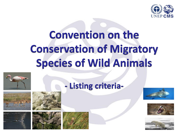

# **Convention on the Conservation of Migratory Species of Wild Animals**

**- Listing criteria-**















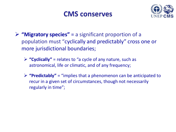#### **CMS conserves**



- **"Migratory species"** = a significant proportion of a population must "cyclically and predictably" cross one or more jurisdictional boundaries;
	- **"Cyclically"** = relates to "a cycle of any nature, such as astronomical, life or climatic, and of any frequency;
	- **"Predictably"** = "implies that a phenomenon can be anticipated to recur in a given set of circumstances, though not necessarily regularly in time";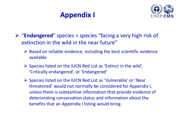## **Appendix I**



- "**Endangered**" species = species "facing a very high risk of extinction in the wild in the near future"
	- $\triangleright$  Based on reliable evidence, including the best scientific evidence available
	- $\triangleright$  Species listed on the IUCN Red List as 'Extinct in the wild', 'Critically endangered', or 'Endangered'
	- $\triangleright$  Species listed on the IUCN Red List as 'Vulnerable' or 'Near threatened' would not normally be considered for Appendix I, unless there is substantive information that provide evidence of deteriorating conservation status and information about the benefits that an Appendix I listing would bring.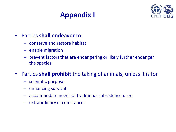## **Appendix I**



#### • Parties **shall endeavor** to:

- conserve and restore habitat
- enable migration
- prevent factors that are endangering or likely further endanger the species
- Parties **shall prohibit** the taking of animals, unless it is for
	- scientific purpose
	- enhancing survival
	- accommodate needs of traditional subsistence users
	- extraordinary circumstances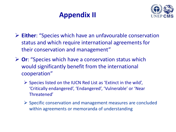#### **Appendix II**



- **Either**: "Species which have an unfavourable conservation status and which require international agreements for their conservation and management"
- **Or**: "Species which have a conservation status which would significantly benefit from the international cooperation"
	- $\triangleright$  Species listed on the IUCN Red List as 'Extinct in the wild', 'Critically endangered', 'Endangered', 'Vulnerable' or 'Near Threatened'
	- $\triangleright$  Specific conservation and management measures are concluded within agreements or memoranda of understanding